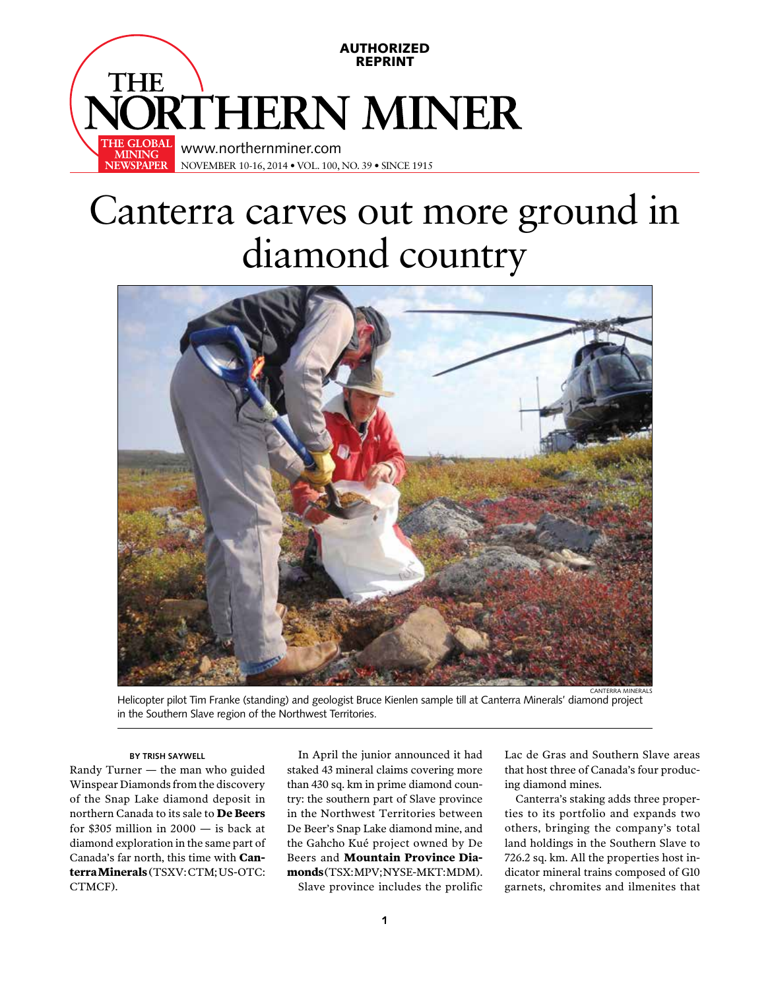

## Canterra carves out more ground in diamond country



Helicopter pilot Tim Franke (standing) and geologist Bruce Kienlen sample till at Canterra Minerals' diamond project in the Southern Slave region of the Northwest Territories.

## **BY TRISH SAYWELL**

Randy Turner — the man who guided Winspear Diamonds from the discovery of the Snap Lake diamond deposit in northern Canada to its sale to **De Beers** for  $$305$  million in  $2000 -$  is back at diamond exploration in the same part of Canada's far north, this time with **Canterra Minerals** (TSXV: CTM; US-OTC: CTMCF).

In April the junior announced it had staked 43 mineral claims covering more than 430 sq. km in prime diamond country: the southern part of Slave province in the Northwest Territories between De Beer's Snap Lake diamond mine, and the Gahcho Kué project owned by De Beers and **Mountain Province Dia**monds (TSX:MPV:NYSE-MKT:MDM).

Slave province includes the prolific

Lac de Gras and Southern Slave areas that host three of Canada's four producing diamond mines.

Canterra's staking adds three properties to its portfolio and expands two others, bringing the company's total land holdings in the Southern Slave to 726.2 sq. km. All the properties host indicator mineral trains composed of G10 garnets, chromites and ilmenites that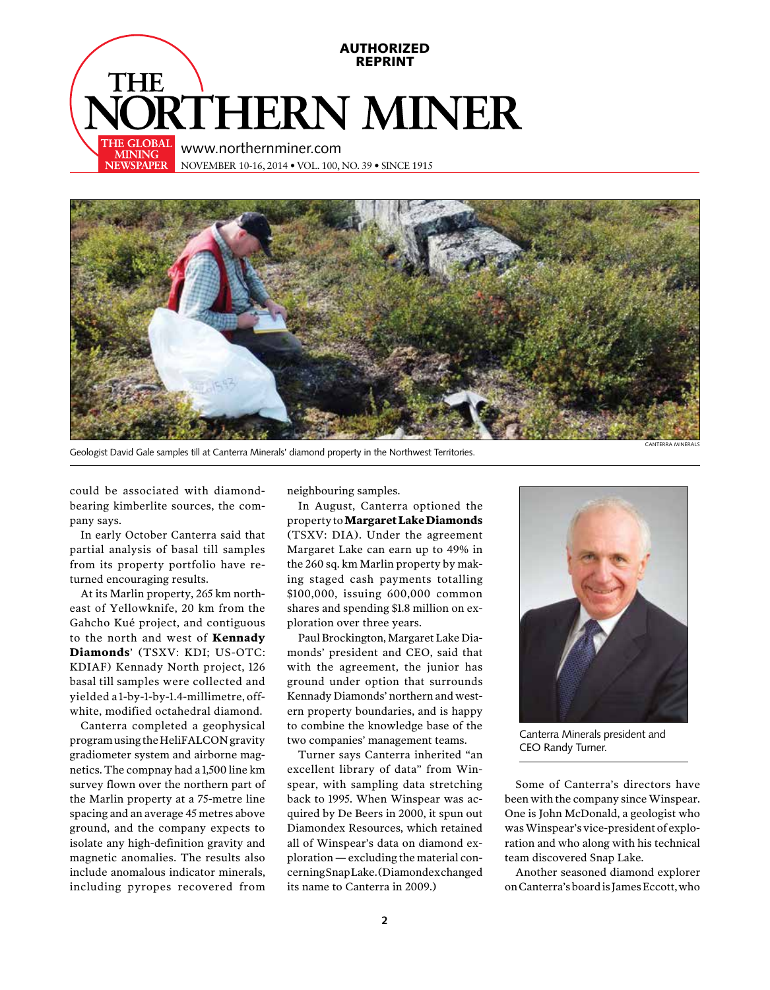



Geologist David Gale samples till at Canterra Minerals' diamond property in the Northwest Territories.

could be associated with diamondbearing kimberlite sources, the company says.

In early October Canterra said that partial analysis of basal till samples from its property portfolio have returned encouraging results.

At its Marlin property, 265 km northeast of Yellowknife, 20 km from the Gahcho Kué project, and contiguous to the north and west of **Kennady Diamonds**' (TSXV: KDI; US-OTC: KDIAF) Kennady North project, 126 basal till samples were collected and yielded a 1-by-1-by-1.4-millimetre, offwhite, modified octahedral diamond.

Canterra completed a geophysical program using the HeliFALCON gravity gradiometer system and airborne magnetics. The compnay had a 1,500 line km survey flown over the northern part of the Marlin property at a 75-metre line spacing and an average 45 metres above ground, and the company expects to isolate any high-definition gravity and magnetic anomalies. The results also include anomalous indicator minerals, including pyropes recovered from neighbouring samples.

In August, Canterra optioned the property to **Margaret Lake Diamonds** (TSXV: DIA). Under the agreement Margaret Lake can earn up to 49% in the 260 sq. km Marlin property by making staged cash payments totalling \$100,000, issuing 600,000 common shares and spending \$1.8 million on exploration over three years.

Paul Brockington, Margaret Lake Diamonds' president and CEO, said that with the agreement, the junior has ground under option that surrounds Kennady Diamonds' northern and western property boundaries, and is happy to combine the knowledge base of the two companies' management teams.

Turner says Canterra inherited "an excellent library of data" from Winspear, with sampling data stretching back to 1995. When Winspear was acquired by De Beers in 2000, it spun out Diamondex Resources, which retained all of Winspear's data on diamond exploration — excluding the material concerning Snap Lake. (Diamondex changed its name to Canterra in 2009.)



Canterra Minerals president and CEO Randy Turner.

Some of Canterra's directors have been with the company since Winspear. One is John McDonald, a geologist who was Winspear's vice-president of exploration and who along with his technical team discovered Snap Lake.

Another seasoned diamond explorer on Canterra's board is James Eccott, who